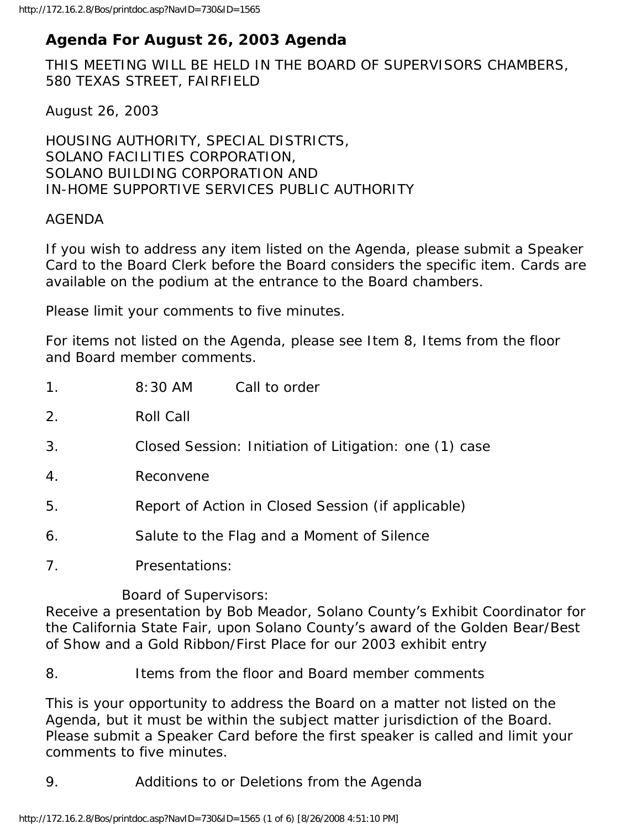# **Agenda For August 26, 2003 Agenda**

THIS MEETING WILL BE HELD IN THE BOARD OF SUPERVISORS CHAMBERS, 580 TEXAS STREET, FAIRFIELD

August 26, 2003

HOUSING AUTHORITY, SPECIAL DISTRICTS, SOLANO FACILITIES CORPORATION, SOLANO BUILDING CORPORATION AND IN-HOME SUPPORTIVE SERVICES PUBLIC AUTHORITY

#### AGENDA

If you wish to address any item listed on the Agenda, please submit a Speaker Card to the Board Clerk before the Board considers the specific item. Cards are available on the podium at the entrance to the Board chambers.

Please limit your comments to five minutes.

For items not listed on the Agenda, please see Item 8, Items from the floor and Board member comments.

| $\mathbf 1$ .      | 8:30 AM<br>Call to order                                                                    |  |  |
|--------------------|---------------------------------------------------------------------------------------------|--|--|
| 2.                 | Roll Call                                                                                   |  |  |
| 3.                 | Closed Session: Initiation of Litigation: one (1) case                                      |  |  |
| $\boldsymbol{4}$ . | Reconvene                                                                                   |  |  |
| 5.                 | Report of Action in Closed Session (if applicable)                                          |  |  |
| 6.                 | Salute to the Flag and a Moment of Silence                                                  |  |  |
| 7 <sub>1</sub>     | Presentations:                                                                              |  |  |
|                    | Board of Supervisors:<br>Receive a presentation by Bob Meador, Solano County's Exhibit Coor |  |  |

dinator for the California State Fair, upon Solano County's award of the Golden Bear/Best of Show and a Gold Ribbon/First Place for our 2003 exhibit entry

8. Items from the floor and Board member comments

This is your opportunity to address the Board on a matter not listed on the Agenda, but it must be within the subject matter jurisdiction of the Board. Please submit a Speaker Card before the first speaker is called and limit your comments to five minutes.

9. Additions to or Deletions from the Agenda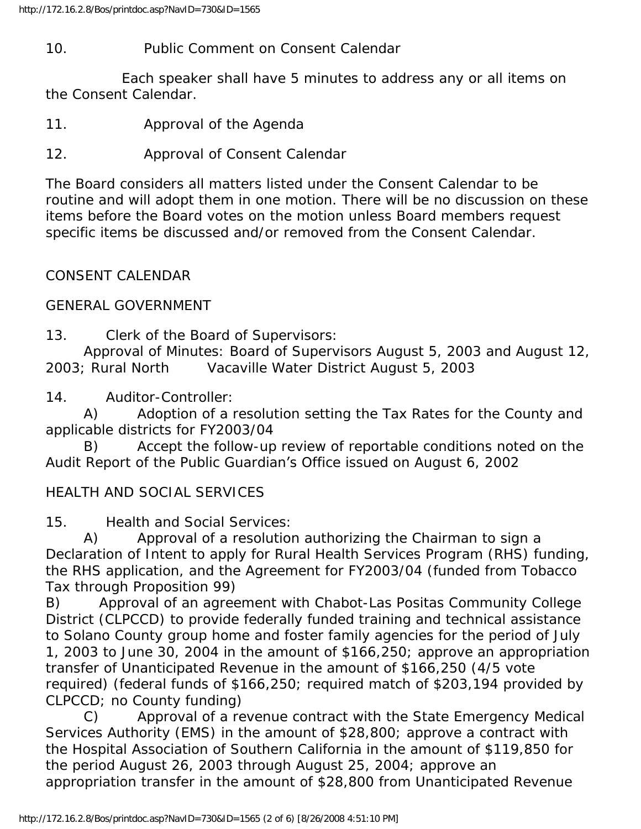# 10. Public Comment on Consent Calendar

 Each speaker shall have 5 minutes to address any or all items on the Consent Calendar.

- 11. Approval of the Agenda
- 12. Approval of Consent Calendar

The Board considers all matters listed under the Consent Calendar to be routine and will adopt them in one motion. There will be no discussion on these items before the Board votes on the motion unless Board members request specific items be discussed and/or removed from the Consent Calendar.

# CONSENT CALENDAR

# GENERAL GOVERNMENT

13. Clerk of the Board of Supervisors:

 Approval of Minutes: Board of Supervisors August 5, 2003 and August 12, 2003; Rural North Vacaville Water District August 5, 2003

14. Auditor-Controller:

 A) Adoption of a resolution setting the Tax Rates for the County and applicable districts for FY2003/04

 B) Accept the follow-up review of reportable conditions noted on the Audit Report of the Public Guardian's Office issued on August 6, 2002

### HEALTH AND SOCIAL SERVICES

15. Health and Social Services:

 A) Approval of a resolution authorizing the Chairman to sign a Declaration of Intent to apply for Rural Health Services Program (RHS) funding, the RHS application, and the Agreement for FY2003/04 (funded from Tobacco Tax through Proposition 99)

B) Approval of an agreement with Chabot-Las Positas Community College District (CLPCCD) to provide federally funded training and technical assistance to Solano County group home and foster family agencies for the period of July 1, 2003 to June 30, 2004 in the amount of \$166,250; approve an appropriation transfer of Unanticipated Revenue in the amount of \$166,250 (4/5 vote required) (federal funds of \$166,250; required match of \$203,194 provided by CLPCCD; no County funding)

 C) Approval of a revenue contract with the State Emergency Medical Services Authority (EMS) in the amount of \$28,800; approve a contract with the Hospital Association of Southern California in the amount of \$119,850 for the period August 26, 2003 through August 25, 2004; approve an appropriation transfer in the amount of \$28,800 from Unanticipated Revenue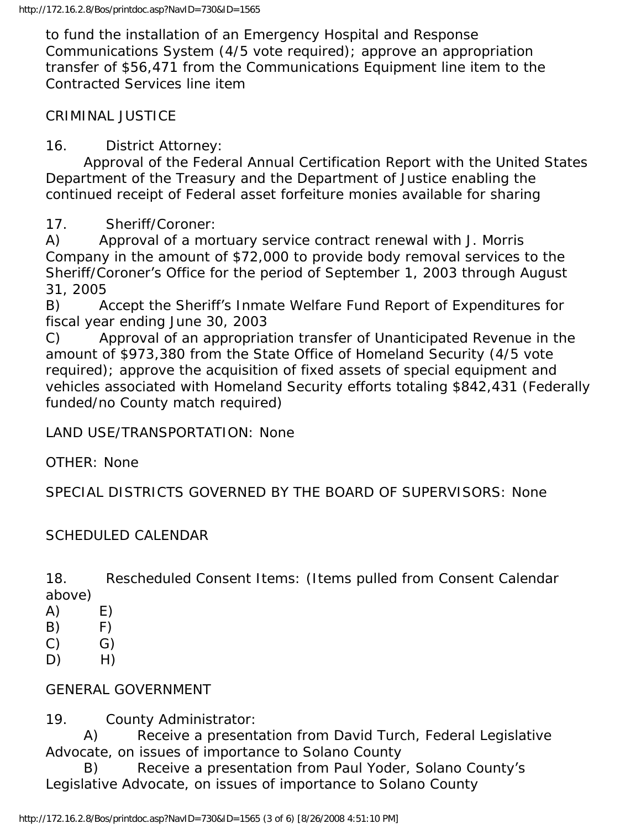to fund the installation of an Emergency Hospital and Response Communications System (4/5 vote required); approve an appropriation transfer of \$56,471 from the Communications Equipment line item to the Contracted Services line item

#### CRIMINAL JUSTICE

16. District Attorney:

 Approval of the Federal Annual Certification Report with the United States Department of the Treasury and the Department of Justice enabling the continued receipt of Federal asset forfeiture monies available for sharing

17. Sheriff/Coroner:

A) Approval of a mortuary service contract renewal with J. Morris Company in the amount of \$72,000 to provide body removal services to the Sheriff/Coroner's Office for the period of September 1, 2003 through August 31, 2005

B) Accept the Sheriff's Inmate Welfare Fund Report of Expenditures for fiscal year ending June 30, 2003

C) Approval of an appropriation transfer of Unanticipated Revenue in the amount of \$973,380 from the State Office of Homeland Security (4/5 vote required); approve the acquisition of fixed assets of special equipment and vehicles associated with Homeland Security efforts totaling \$842,431 (Federally funded/no County match required)

LAND USE/TRANSPORTATION: None

OTHER: None

SPECIAL DISTRICTS GOVERNED BY THE BOARD OF SUPERVISORS: None

### SCHEDULED CALENDAR

18. Rescheduled Consent Items: (Items pulled from Consent Calendar above)

- $(A)$  E)
- $(B)$   $F)$
- $(C)$   $G)$
- $D)$  H)

GENERAL GOVERNMENT

19. County Administrator:

 A) Receive a presentation from David Turch, Federal Legislative Advocate, on issues of importance to Solano County

 B) Receive a presentation from Paul Yoder, Solano County's Legislative Advocate, on issues of importance to Solano County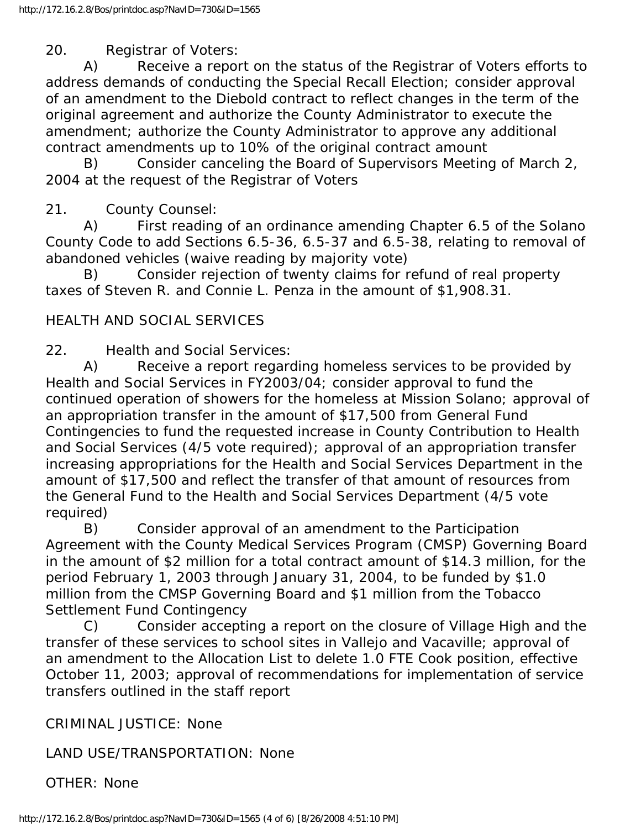20. Registrar of Voters:

 A) Receive a report on the status of the Registrar of Voters efforts to address demands of conducting the Special Recall Election; consider approval of an amendment to the Diebold contract to reflect changes in the term of the original agreement and authorize the County Administrator to execute the amendment; authorize the County Administrator to approve any additional contract amendments up to 10% of the original contract amount

 B) Consider canceling the Board of Supervisors Meeting of March 2, 2004 at the request of the Registrar of Voters

21. County Counsel:

 A) First reading of an ordinance amending Chapter 6.5 of the Solano County Code to add Sections 6.5-36, 6.5-37 and 6.5-38, relating to removal of abandoned vehicles (waive reading by majority vote)

 B) Consider rejection of twenty claims for refund of real property taxes of Steven R. and Connie L. Penza in the amount of \$1,908.31.

### HEALTH AND SOCIAL SERVICES

22. Health and Social Services:

 A) Receive a report regarding homeless services to be provided by Health and Social Services in FY2003/04; consider approval to fund the continued operation of showers for the homeless at Mission Solano; approval of an appropriation transfer in the amount of \$17,500 from General Fund Contingencies to fund the requested increase in County Contribution to Health and Social Services (4/5 vote required); approval of an appropriation transfer increasing appropriations for the Health and Social Services Department in the amount of \$17,500 and reflect the transfer of that amount of resources from the General Fund to the Health and Social Services Department (4/5 vote required)

 B) Consider approval of an amendment to the Participation Agreement with the County Medical Services Program (CMSP) Governing Board in the amount of \$2 million for a total contract amount of \$14.3 million, for the period February 1, 2003 through January 31, 2004, to be funded by \$1.0 million from the CMSP Governing Board and \$1 million from the Tobacco Settlement Fund Contingency

 C) Consider accepting a report on the closure of Village High and the transfer of these services to school sites in Vallejo and Vacaville; approval of an amendment to the Allocation List to delete 1.0 FTE Cook position, effective October 11, 2003; approval of recommendations for implementation of service transfers outlined in the staff report

CRIMINAL JUSTICE: None

LAND USE/TRANSPORTATION: None

OTHER: None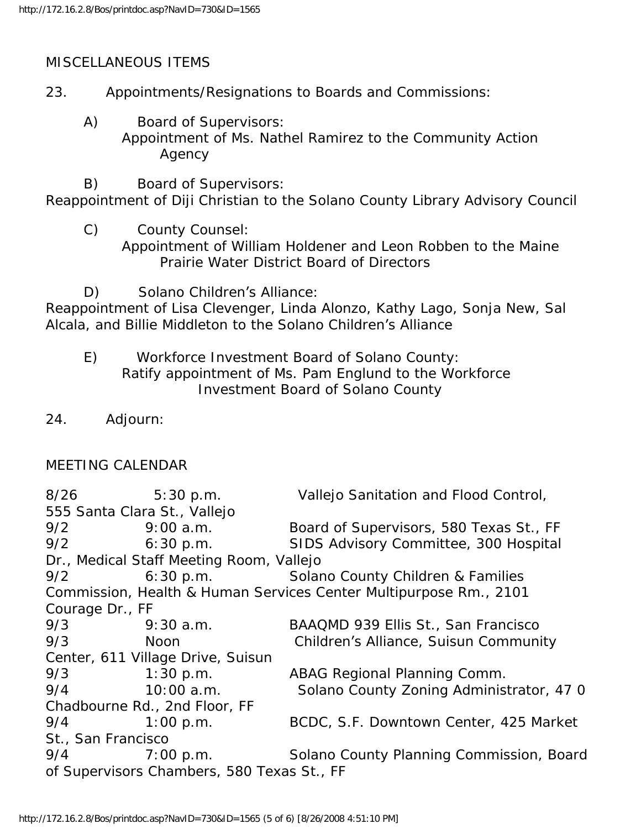MISCELLANEOUS ITEMS

- 23. Appointments/Resignations to Boards and Commissions:
	- A) Board of Supervisors: Appointment of Ms. Nathel Ramirez to the Community Action Agency

B) Board of Supervisors:

Reappointment of Diji Christian to the Solano County Library Advisory Council

- C) County Counsel:
	- Appointment of William Holdener and Leon Robben to the Maine Prairie Water District Board of Directors
- D) Solano Children's Alliance:

Reappointment of Lisa Clevenger, Linda Alonzo, Kathy Lago, Sonja New, Sal Alcala, and Billie Middleton to the Solano Children's Alliance

- E) Workforce Investment Board of Solano County: Ratify appointment of Ms. Pam Englund to the Workforce Investment Board of Solano County
- 24. Adjourn:

#### MEETING CALENDAR

|                                                                   | 8/26 5:30 p.m.                             | Vallejo Sanitation and Flood Control,              |  |  |
|-------------------------------------------------------------------|--------------------------------------------|----------------------------------------------------|--|--|
|                                                                   | 555 Santa Clara St., Vallejo               |                                                    |  |  |
| 9/2                                                               | 9:00 a.m.                                  | Board of Supervisors, 580 Texas St., FF            |  |  |
| 9/2                                                               | 6:30 p.m.                                  | SIDS Advisory Committee, 300 Hospital              |  |  |
| Dr., Medical Staff Meeting Room, Vallejo                          |                                            |                                                    |  |  |
| 9/2                                                               |                                            | 6:30 p.m. Solano County Children & Families        |  |  |
| Commission, Health & Human Services Center Multipurpose Rm., 2101 |                                            |                                                    |  |  |
| Courage Dr., FF                                                   |                                            |                                                    |  |  |
|                                                                   | $9/3$ $9:30$ a.m.                          | BAAQMD 939 Ellis St., San Francisco                |  |  |
| 9/3                                                               | Noon                                       | Children's Alliance, Suisun Community              |  |  |
|                                                                   | Center, 611 Village Drive, Suisun          |                                                    |  |  |
| 9/3                                                               | $1:30$ p.m.                                | ABAG Regional Planning Comm.                       |  |  |
| 9/4                                                               | $10:00$ a.m.                               | Solano County Zoning Administrator, 47 0           |  |  |
|                                                                   | Chadbourne Rd., 2nd Floor, FF              |                                                    |  |  |
| 9/4                                                               | $1:00$ p.m.                                | BCDC, S.F. Downtown Center, 425 Market             |  |  |
|                                                                   | St., San Francisco                         |                                                    |  |  |
| 9/4                                                               |                                            | 7:00 p.m. Solano County Planning Commission, Board |  |  |
|                                                                   | of Supervisors Chambers, 580 Texas St., FF |                                                    |  |  |